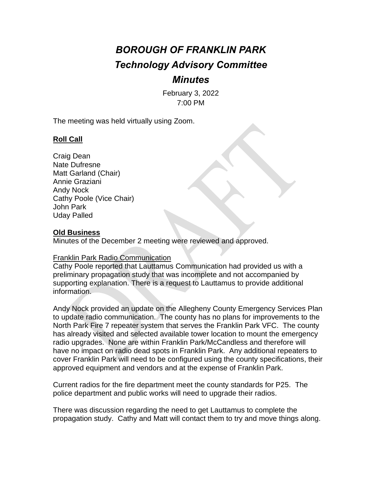# *BOROUGH OF FRANKLIN PARK Technology Advisory Committee*

## *Minutes*

February 3, 2022 7:00 PM

The meeting was held virtually using Zoom.

### **Roll Call**

Craig Dean Nate Dufresne Matt Garland (Chair) Annie Graziani Andy Nock Cathy Poole (Vice Chair) John Park Uday Palled

#### **Old Business**

Minutes of the December 2 meeting were reviewed and approved.

#### Franklin Park Radio Communication

Cathy Poole reported that Lauttamus Communication had provided us with a preliminary propagation study that was incomplete and not accompanied by supporting explanation. There is a request to Lauttamus to provide additional information.

Andy Nock provided an update on the Allegheny County Emergency Services Plan to update radio communication. The county has no plans for improvements to the North Park Fire 7 repeater system that serves the Franklin Park VFC. The county has already visited and selected available tower location to mount the emergency radio upgrades. None are within Franklin Park/McCandless and therefore will have no impact on radio dead spots in Franklin Park. Any additional repeaters to cover Franklin Park will need to be configured using the county specifications, their approved equipment and vendors and at the expense of Franklin Park.

Current radios for the fire department meet the county standards for P25. The police department and public works will need to upgrade their radios.

There was discussion regarding the need to get Lauttamus to complete the propagation study. Cathy and Matt will contact them to try and move things along.